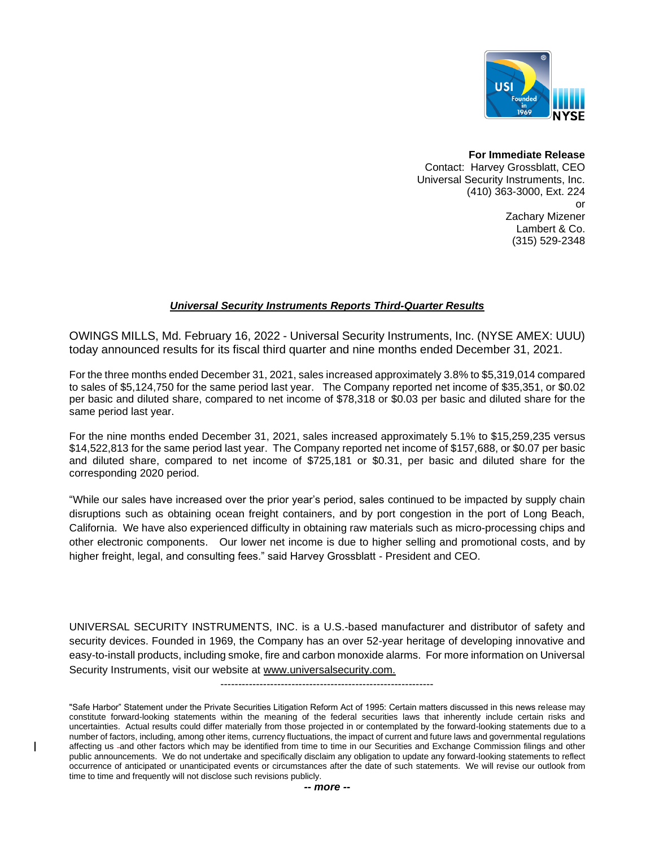

**For Immediate Release** Contact: Harvey Grossblatt, CEO Universal Security Instruments, Inc. (410) 363-3000, Ext. 224 or Zachary Mizener Lambert & Co. (315) 529-2348

## *Universal Security Instruments Reports Third-Quarter Results*

OWINGS MILLS, Md. February 16, 2022 - Universal Security Instruments, Inc. (NYSE AMEX: UUU) today announced results for its fiscal third quarter and nine months ended December 31, 2021.

For the three months ended December 31, 2021, sales increased approximately 3.8% to \$5,319,014 compared to sales of \$5,124,750 for the same period last year. The Company reported net income of \$35,351, or \$0.02 per basic and diluted share, compared to net income of \$78,318 or \$0.03 per basic and diluted share for the same period last year.

For the nine months ended December 31, 2021, sales increased approximately 5.1% to \$15,259,235 versus \$14,522,813 for the same period last year. The Company reported net income of \$157,688, or \$0.07 per basic and diluted share, compared to net income of \$725,181 or \$0.31, per basic and diluted share for the corresponding 2020 period.

"While our sales have increased over the prior year's period, sales continued to be impacted by supply chain disruptions such as obtaining ocean freight containers, and by port congestion in the port of Long Beach, California. We have also experienced difficulty in obtaining raw materials such as micro-processing chips and other electronic components. Our lower net income is due to higher selling and promotional costs, and by higher freight, legal, and consulting fees." said Harvey Grossblatt - President and CEO.

UNIVERSAL SECURITY INSTRUMENTS, INC. is a U.S.-based manufacturer and distributor of safety and security devices. Founded in 1969, the Company has an over 52-year heritage of developing innovative and easy-to-install products, including smoke, fire and carbon monoxide alarms. For more information on Universal Security Instruments, visit our website at www.universalsecurity.com.

------------------------------------------------------------

"Safe Harbor" Statement under the Private Securities Litigation Reform Act of 1995: Certain matters discussed in this news release may constitute forward-looking statements within the meaning of the federal securities laws that inherently include certain risks and uncertainties. Actual results could differ materially from those projected in or contemplated by the forward-looking statements due to a number of factors, including, among other items, currency fluctuations, the impact of current and future laws and governmental regulations affecting us -and other factors which may be identified from time to time in our Securities and Exchange Commission filings and other public announcements. We do not undertake and specifically disclaim any obligation to update any forward-looking statements to reflect occurrence of anticipated or unanticipated events or circumstances after the date of such statements. We will revise our outlook from time to time and frequently will not disclose such revisions publicly.